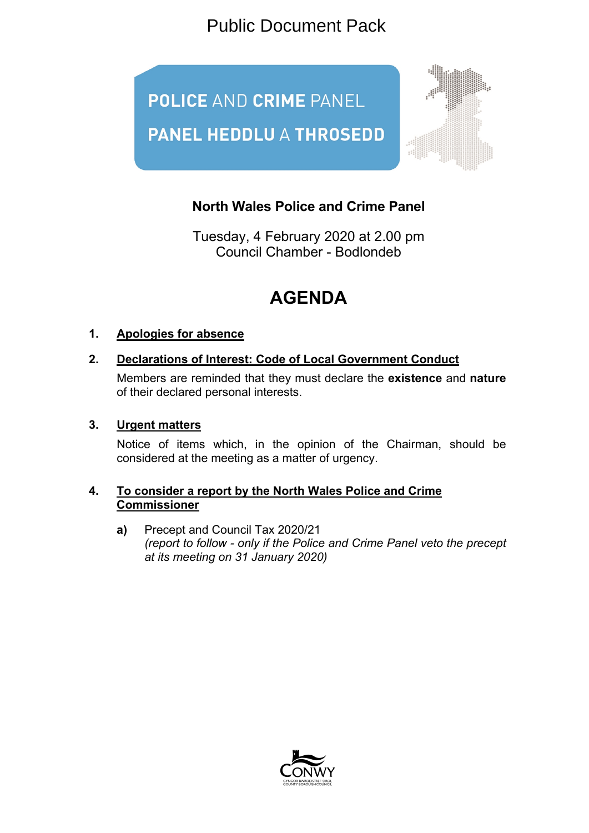Public Document Pack



## **North Wales Police and Crime Panel**

Tuesday, 4 February 2020 at 2.00 pm Council Chamber - Bodlondeb

# **AGENDA**

### **1. Apologies for absence**

#### **2. Declarations of Interest: Code of Local Government Conduct**

Members are reminded that they must declare the **existence** and **nature** of their declared personal interests.

#### **3. Urgent matters**

Notice of items which, in the opinion of the Chairman, should be considered at the meeting as a matter of urgency.

#### **4. To consider a report by the North Wales Police and Crime Commissioner**

**a)** Precept and Council Tax 2020/21 *(report to follow - only if the Police and Crime Panel veto the precept at its meeting on 31 January 2020)*